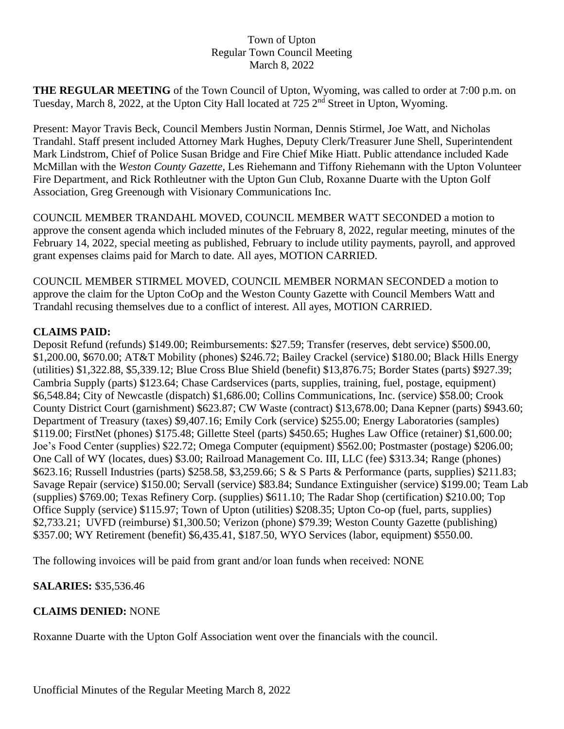## Town of Upton Regular Town Council Meeting March 8, 2022

**THE REGULAR MEETING** of the Town Council of Upton, Wyoming, was called to order at 7:00 p.m. on Tuesday, March 8, 2022, at the Upton City Hall located at 725 2<sup>nd</sup> Street in Upton, Wyoming.

Present: Mayor Travis Beck, Council Members Justin Norman, Dennis Stirmel, Joe Watt, and Nicholas Trandahl. Staff present included Attorney Mark Hughes, Deputy Clerk/Treasurer June Shell, Superintendent Mark Lindstrom, Chief of Police Susan Bridge and Fire Chief Mike Hiatt. Public attendance included Kade McMillan with the *Weston County Gazette*, Les Riehemann and Tiffony Riehemann with the Upton Volunteer Fire Department, and Rick Rothleutner with the Upton Gun Club, Roxanne Duarte with the Upton Golf Association, Greg Greenough with Visionary Communications Inc.

COUNCIL MEMBER TRANDAHL MOVED, COUNCIL MEMBER WATT SECONDED a motion to approve the consent agenda which included minutes of the February 8, 2022, regular meeting, minutes of the February 14, 2022, special meeting as published, February to include utility payments, payroll, and approved grant expenses claims paid for March to date. All ayes, MOTION CARRIED.

COUNCIL MEMBER STIRMEL MOVED, COUNCIL MEMBER NORMAN SECONDED a motion to approve the claim for the Upton CoOp and the Weston County Gazette with Council Members Watt and Trandahl recusing themselves due to a conflict of interest. All ayes, MOTION CARRIED.

## **CLAIMS PAID:**

Deposit Refund (refunds) \$149.00; Reimbursements: \$27.59; Transfer (reserves, debt service) \$500.00, \$1,200.00, \$670.00; AT&T Mobility (phones) \$246.72; Bailey Crackel (service) \$180.00; Black Hills Energy (utilities) \$1,322.88, \$5,339.12; Blue Cross Blue Shield (benefit) \$13,876.75; Border States (parts) \$927.39; Cambria Supply (parts) \$123.64; Chase Cardservices (parts, supplies, training, fuel, postage, equipment) \$6,548.84; City of Newcastle (dispatch) \$1,686.00; Collins Communications, Inc. (service) \$58.00; Crook County District Court (garnishment) \$623.87; CW Waste (contract) \$13,678.00; Dana Kepner (parts) \$943.60; Department of Treasury (taxes) \$9,407.16; Emily Cork (service) \$255.00; Energy Laboratories (samples) \$119.00; FirstNet (phones) \$175.48; Gillette Steel (parts) \$450.65; Hughes Law Office (retainer) \$1,600.00; Joe's Food Center (supplies) \$22.72; Omega Computer (equipment) \$562.00; Postmaster (postage) \$206.00; One Call of WY (locates, dues) \$3.00; Railroad Management Co. III, LLC (fee) \$313.34; Range (phones) \$623.16; Russell Industries (parts) \$258.58, \$3,259.66; S & S Parts & Performance (parts, supplies) \$211.83; Savage Repair (service) \$150.00; Servall (service) \$83.84; Sundance Extinguisher (service) \$199.00; Team Lab (supplies) \$769.00; Texas Refinery Corp. (supplies) \$611.10; The Radar Shop (certification) \$210.00; Top Office Supply (service) \$115.97; Town of Upton (utilities) \$208.35; Upton Co-op (fuel, parts, supplies) \$2,733.21; UVFD (reimburse) \$1,300.50; Verizon (phone) \$79.39; Weston County Gazette (publishing) \$357.00; WY Retirement (benefit) \$6,435.41, \$187.50, WYO Services (labor, equipment) \$550.00.

The following invoices will be paid from grant and/or loan funds when received: NONE

## **SALARIES:** \$35,536.46

## **CLAIMS DENIED:** NONE

Roxanne Duarte with the Upton Golf Association went over the financials with the council.